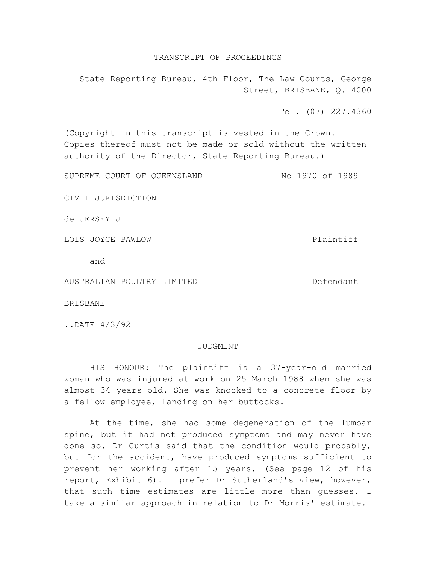## TRANSCRIPT OF PROCEEDINGS

State Reporting Bureau, 4th Floor, The Law Courts, George Street, BRISBANE, Q. 4000

Tel. (07) 227.4360

(Copyright in this transcript is vested in the Crown. Copies thereof must not be made or sold without the written authority of the Director, State Reporting Bureau.)

SUPREME COURT OF QUEENSLAND No 1970 of 1989

CIVIL JURISDICTION

de JERSEY J

LOIS JOYCE PAWLOW **Plaintiff** 

and

AUSTRALIAN POULTRY LIMITED DESCRIPTION Defendant

BRISBANE

..DATE 4/3/92

## JUDGMENT

HIS HONOUR: The plaintiff is a 37-year-old married woman who was injured at work on 25 March 1988 when she was almost 34 years old. She was knocked to a concrete floor by a fellow employee, landing on her buttocks.

At the time, she had some degeneration of the lumbar spine, but it had not produced symptoms and may never have done so. Dr Curtis said that the condition would probably, but for the accident, have produced symptoms sufficient to prevent her working after 15 years. (See page 12 of his report, Exhibit 6). I prefer Dr Sutherland's view, however, that such time estimates are little more than guesses. I take a similar approach in relation to Dr Morris' estimate.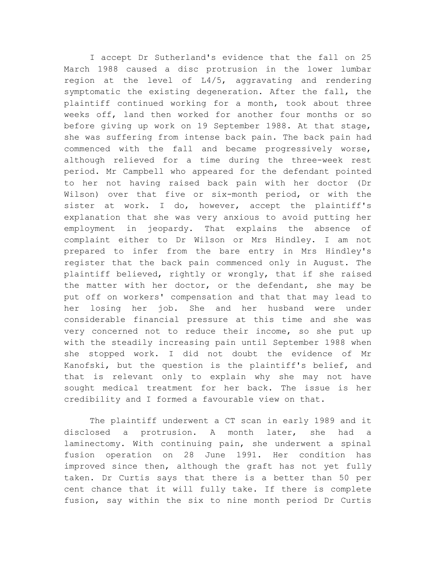I accept Dr Sutherland's evidence that the fall on 25 March 1988 caused a disc protrusion in the lower lumbar region at the level of L4/5, aggravating and rendering symptomatic the existing degeneration. After the fall, the plaintiff continued working for a month, took about three weeks off, land then worked for another four months or so before giving up work on 19 September 1988. At that stage, she was suffering from intense back pain. The back pain had commenced with the fall and became progressively worse, although relieved for a time during the three-week rest period. Mr Campbell who appeared for the defendant pointed to her not having raised back pain with her doctor (Dr Wilson) over that five or six-month period, or with the sister at work. I do, however, accept the plaintiff's explanation that she was very anxious to avoid putting her employment in jeopardy. That explains the absence of complaint either to Dr Wilson or Mrs Hindley. I am not prepared to infer from the bare entry in Mrs Hindley's register that the back pain commenced only in August. The plaintiff believed, rightly or wrongly, that if she raised the matter with her doctor, or the defendant, she may be put off on workers' compensation and that that may lead to her losing her job. She and her husband were under considerable financial pressure at this time and she was very concerned not to reduce their income, so she put up with the steadily increasing pain until September 1988 when she stopped work. I did not doubt the evidence of Mr Kanofski, but the question is the plaintiff's belief, and that is relevant only to explain why she may not have sought medical treatment for her back. The issue is her credibility and I formed a favourable view on that.

The plaintiff underwent a CT scan in early 1989 and it disclosed a protrusion. A month later, she had a laminectomy. With continuing pain, she underwent a spinal fusion operation on 28 June 1991. Her condition has improved since then, although the graft has not yet fully taken. Dr Curtis says that there is a better than 50 per cent chance that it will fully take. If there is complete fusion, say within the six to nine month period Dr Curtis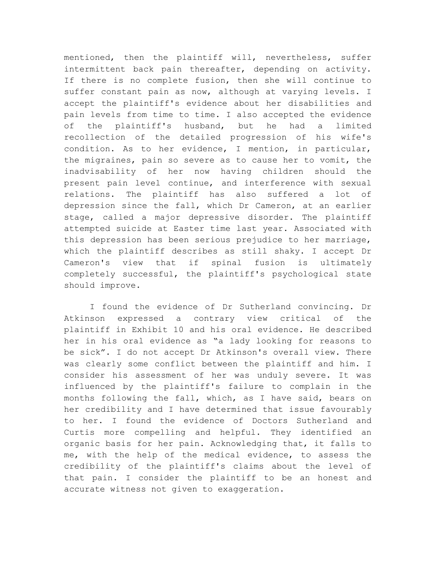mentioned, then the plaintiff will, nevertheless, suffer intermittent back pain thereafter, depending on activity. If there is no complete fusion, then she will continue to suffer constant pain as now, although at varying levels. I accept the plaintiff's evidence about her disabilities and pain levels from time to time. I also accepted the evidence of the plaintiff's husband, but he had a limited recollection of the detailed progression of his wife's condition. As to her evidence, I mention, in particular, the migraines, pain so severe as to cause her to vomit, the inadvisability of her now having children should the present pain level continue, and interference with sexual relations. The plaintiff has also suffered a lot of depression since the fall, which Dr Cameron, at an earlier stage, called a major depressive disorder. The plaintiff attempted suicide at Easter time last year. Associated with this depression has been serious prejudice to her marriage, which the plaintiff describes as still shaky. I accept Dr Cameron's view that if spinal fusion is ultimately completely successful, the plaintiff's psychological state should improve.

I found the evidence of Dr Sutherland convincing. Dr Atkinson expressed a contrary view critical of the plaintiff in Exhibit 10 and his oral evidence. He described her in his oral evidence as "a lady looking for reasons to be sick". I do not accept Dr Atkinson's overall view. There was clearly some conflict between the plaintiff and him. I consider his assessment of her was unduly severe. It was influenced by the plaintiff's failure to complain in the months following the fall, which, as I have said, bears on her credibility and I have determined that issue favourably to her. I found the evidence of Doctors Sutherland and Curtis more compelling and helpful. They identified an organic basis for her pain. Acknowledging that, it falls to me, with the help of the medical evidence, to assess the credibility of the plaintiff's claims about the level of that pain. I consider the plaintiff to be an honest and accurate witness not given to exaggeration.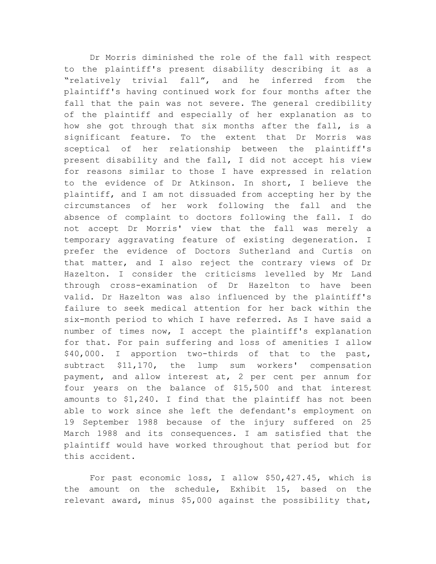Dr Morris diminished the role of the fall with respect to the plaintiff's present disability describing it as a "relatively trivial fall", and he inferred from the plaintiff's having continued work for four months after the fall that the pain was not severe. The general credibility of the plaintiff and especially of her explanation as to how she got through that six months after the fall, is a significant feature. To the extent that Dr Morris was sceptical of her relationship between the plaintiff's present disability and the fall, I did not accept his view for reasons similar to those I have expressed in relation to the evidence of Dr Atkinson. In short, I believe the plaintiff, and I am not dissuaded from accepting her by the circumstances of her work following the fall and the absence of complaint to doctors following the fall. I do not accept Dr Morris' view that the fall was merely a temporary aggravating feature of existing degeneration. I prefer the evidence of Doctors Sutherland and Curtis on that matter, and I also reject the contrary views of Dr Hazelton. I consider the criticisms levelled by Mr Land through cross-examination of Dr Hazelton to have been valid. Dr Hazelton was also influenced by the plaintiff's failure to seek medical attention for her back within the six-month period to which I have referred. As I have said a number of times now, I accept the plaintiff's explanation for that. For pain suffering and loss of amenities I allow \$40,000. I apportion two-thirds of that to the past, subtract \$11,170, the lump sum workers' compensation payment, and allow interest at, 2 per cent per annum for four years on the balance of \$15,500 and that interest amounts to \$1,240. I find that the plaintiff has not been able to work since she left the defendant's employment on 19 September 1988 because of the injury suffered on 25 March 1988 and its consequences. I am satisfied that the plaintiff would have worked throughout that period but for this accident.

For past economic loss, I allow \$50,427.45, which is the amount on the schedule, Exhibit 15, based on the relevant award, minus \$5,000 against the possibility that,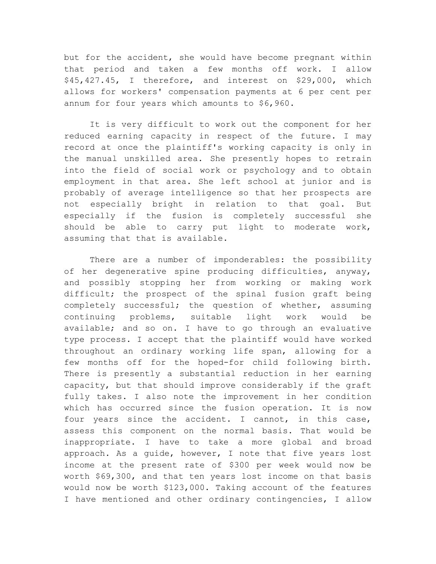but for the accident, she would have become pregnant within that period and taken a few months off work. I allow \$45,427.45, I therefore, and interest on \$29,000, which allows for workers' compensation payments at 6 per cent per annum for four years which amounts to \$6,960.

It is very difficult to work out the component for her reduced earning capacity in respect of the future. I may record at once the plaintiff's working capacity is only in the manual unskilled area. She presently hopes to retrain into the field of social work or psychology and to obtain employment in that area. She left school at junior and is probably of average intelligence so that her prospects are not especially bright in relation to that goal. But especially if the fusion is completely successful she should be able to carry put light to moderate work, assuming that that is available.

There are a number of imponderables: the possibility of her degenerative spine producing difficulties, anyway, and possibly stopping her from working or making work difficult; the prospect of the spinal fusion graft being completely successful; the question of whether, assuming continuing problems, suitable light work would be available; and so on. I have to go through an evaluative type process. I accept that the plaintiff would have worked throughout an ordinary working life span, allowing for a few months off for the hoped-for child following birth. There is presently a substantial reduction in her earning capacity, but that should improve considerably if the graft fully takes. I also note the improvement in her condition which has occurred since the fusion operation. It is now four years since the accident. I cannot, in this case, assess this component on the normal basis. That would be inappropriate. I have to take a more global and broad approach. As a guide, however, I note that five years lost income at the present rate of \$300 per week would now be worth \$69,300, and that ten years lost income on that basis would now be worth \$123,000. Taking account of the features I have mentioned and other ordinary contingencies, I allow